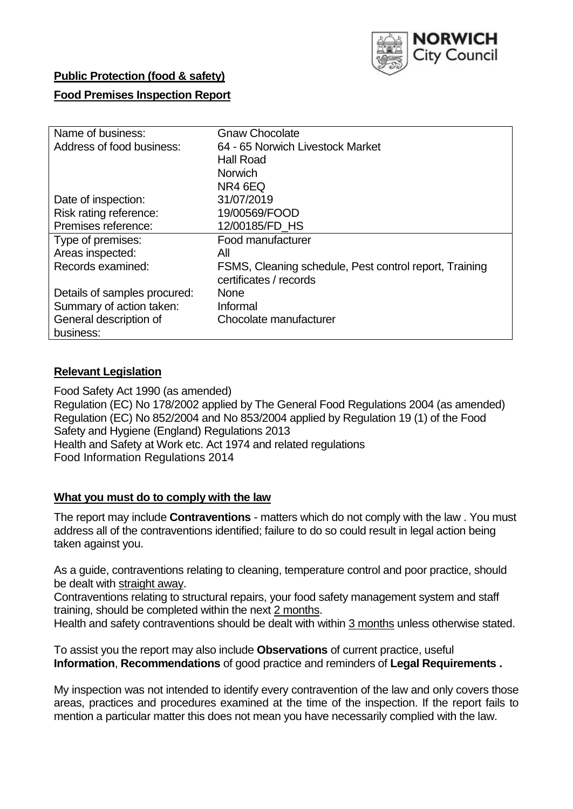

# **Public Protection (food & safety)**

## **Food Premises Inspection Report**

| Name of business:            | <b>Gnaw Chocolate</b>                                  |  |  |  |  |
|------------------------------|--------------------------------------------------------|--|--|--|--|
| Address of food business:    | 64 - 65 Norwich Livestock Market                       |  |  |  |  |
|                              | <b>Hall Road</b>                                       |  |  |  |  |
|                              | <b>Norwich</b>                                         |  |  |  |  |
|                              | NR4 6EQ                                                |  |  |  |  |
| Date of inspection:          | 31/07/2019                                             |  |  |  |  |
| Risk rating reference:       | 19/00569/FOOD                                          |  |  |  |  |
| Premises reference:          | 12/00185/FD HS                                         |  |  |  |  |
| Type of premises:            | Food manufacturer                                      |  |  |  |  |
| Areas inspected:             | All                                                    |  |  |  |  |
| Records examined:            | FSMS, Cleaning schedule, Pest control report, Training |  |  |  |  |
|                              | certificates / records                                 |  |  |  |  |
| Details of samples procured: | <b>None</b>                                            |  |  |  |  |
| Summary of action taken:     | Informal                                               |  |  |  |  |
| General description of       | Chocolate manufacturer                                 |  |  |  |  |
| business:                    |                                                        |  |  |  |  |

### **Relevant Legislation**

Food Safety Act 1990 (as amended) Regulation (EC) No 178/2002 applied by The General Food Regulations 2004 (as amended) Regulation (EC) No 852/2004 and No 853/2004 applied by Regulation 19 (1) of the Food Safety and Hygiene (England) Regulations 2013 Health and Safety at Work etc. Act 1974 and related regulations Food Information Regulations 2014

#### **What you must do to comply with the law**

The report may include **Contraventions** - matters which do not comply with the law . You must address all of the contraventions identified; failure to do so could result in legal action being taken against you.

As a guide, contraventions relating to cleaning, temperature control and poor practice, should be dealt with straight away.

Contraventions relating to structural repairs, your food safety management system and staff training, should be completed within the next 2 months.

Health and safety contraventions should be dealt with within 3 months unless otherwise stated.

To assist you the report may also include **Observations** of current practice, useful **Information**, **Recommendations** of good practice and reminders of **Legal Requirements .**

My inspection was not intended to identify every contravention of the law and only covers those areas, practices and procedures examined at the time of the inspection. If the report fails to mention a particular matter this does not mean you have necessarily complied with the law.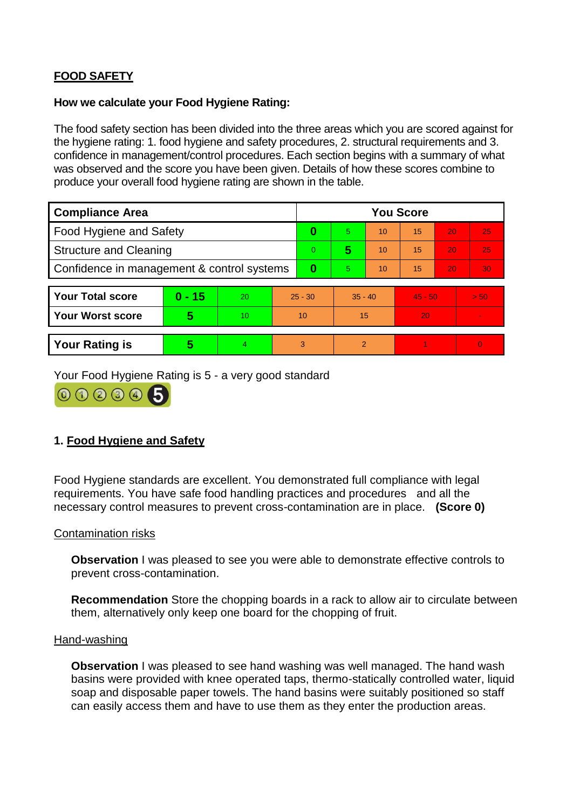# **FOOD SAFETY**

### **How we calculate your Food Hygiene Rating:**

The food safety section has been divided into the three areas which you are scored against for the hygiene rating: 1. food hygiene and safety procedures, 2. structural requirements and 3. confidence in management/control procedures. Each section begins with a summary of what was observed and the score you have been given. Details of how these scores combine to produce your overall food hygiene rating are shown in the table.

| <b>Compliance Area</b>                     |          |    |                | <b>You Score</b> |                |    |           |    |                |  |  |
|--------------------------------------------|----------|----|----------------|------------------|----------------|----|-----------|----|----------------|--|--|
| Food Hygiene and Safety                    |          |    |                | 0                | 5.             | 10 | 15        | 20 | 25             |  |  |
| <b>Structure and Cleaning</b>              |          |    | $\overline{0}$ | 5                | 10             | 15 | 20        | 25 |                |  |  |
| Confidence in management & control systems |          |    | 0              | 5                | 10             | 15 | 20        | 30 |                |  |  |
|                                            |          |    |                |                  |                |    |           |    |                |  |  |
| <b>Your Total score</b>                    | $0 - 15$ | 20 | $25 - 30$      |                  | $35 - 40$      |    | $45 - 50$ |    | > 50           |  |  |
| <b>Your Worst score</b>                    | 5        | 10 | 10             |                  | 15             |    | 20        |    | $\blacksquare$ |  |  |
|                                            |          |    |                |                  |                |    |           |    |                |  |  |
| <b>Your Rating is</b>                      | 5        | 4  | 3              |                  | $\overline{2}$ |    |           |    | $\Omega$       |  |  |

Your Food Hygiene Rating is 5 - a very good standard



# **1. Food Hygiene and Safety**

Food Hygiene standards are excellent. You demonstrated full compliance with legal requirements. You have safe food handling practices and procedures and all the necessary control measures to prevent cross-contamination are in place. **(Score 0)**

## Contamination risks

**Observation** I was pleased to see you were able to demonstrate effective controls to prevent cross-contamination.

**Recommendation** Store the chopping boards in a rack to allow air to circulate between them, alternatively only keep one board for the chopping of fruit.

#### Hand-washing

**Observation** I was pleased to see hand washing was well managed. The hand wash basins were provided with knee operated taps, thermo-statically controlled water, liquid soap and disposable paper towels. The hand basins were suitably positioned so staff can easily access them and have to use them as they enter the production areas.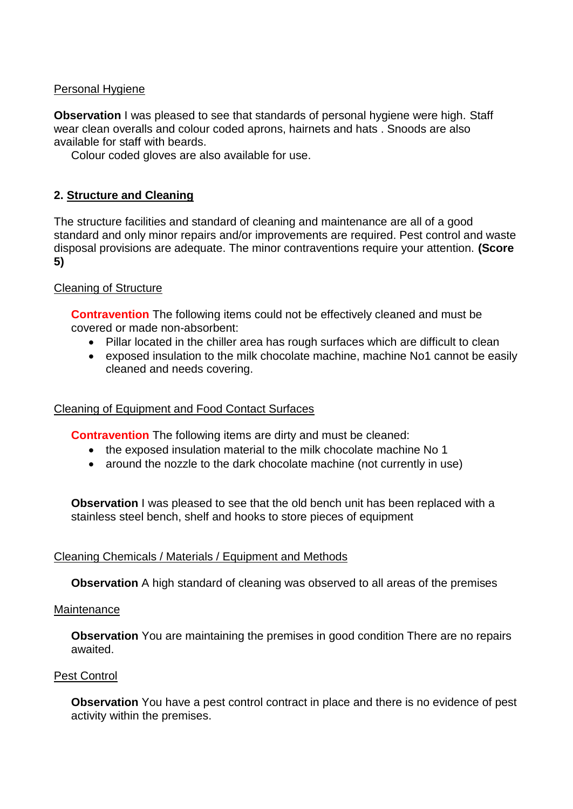# Personal Hygiene

**Observation** I was pleased to see that standards of personal hygiene were high. Staff wear clean overalls and colour coded aprons, hairnets and hats . Snoods are also available for staff with beards.

Colour coded gloves are also available for use.

# **2. Structure and Cleaning**

The structure facilities and standard of cleaning and maintenance are all of a good standard and only minor repairs and/or improvements are required. Pest control and waste disposal provisions are adequate. The minor contraventions require your attention. **(Score 5)**

## Cleaning of Structure

**Contravention** The following items could not be effectively cleaned and must be covered or made non-absorbent:

- Pillar located in the chiller area has rough surfaces which are difficult to clean
- exposed insulation to the milk chocolate machine, machine No1 cannot be easily cleaned and needs covering.

## Cleaning of Equipment and Food Contact Surfaces

**Contravention** The following items are dirty and must be cleaned:

- the exposed insulation material to the milk chocolate machine No 1
- around the nozzle to the dark chocolate machine (not currently in use)

**Observation** I was pleased to see that the old bench unit has been replaced with a stainless steel bench, shelf and hooks to store pieces of equipment

## Cleaning Chemicals / Materials / Equipment and Methods

**Observation** A high standard of cleaning was observed to all areas of the premises

#### **Maintenance**

**Observation** You are maintaining the premises in good condition There are no repairs awaited.

#### Pest Control

**Observation** You have a pest control contract in place and there is no evidence of pest activity within the premises.